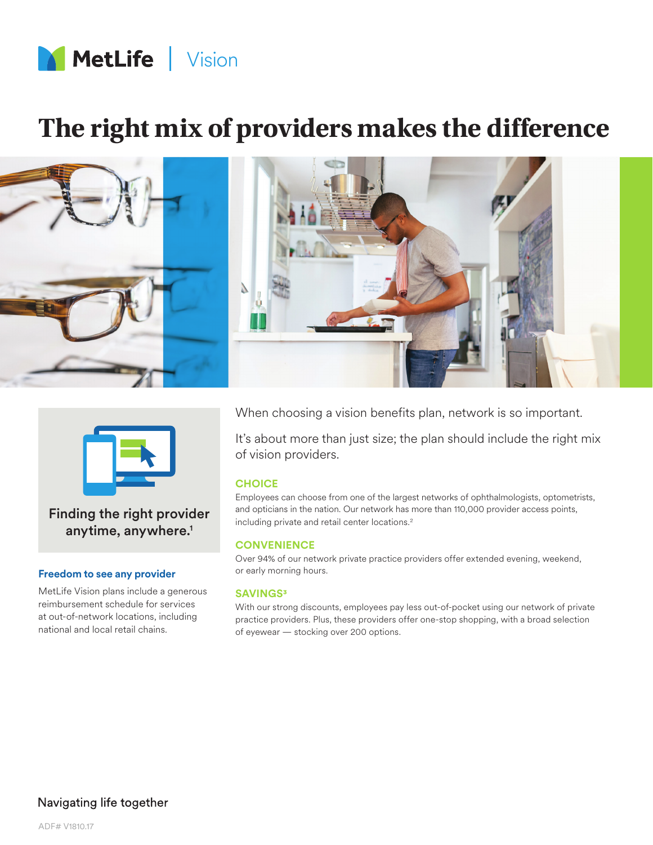

# **The right mix of providers makes the difference**





Finding the right provider anytime, anywhere.<sup>1</sup>

### **Freedom to see any provider**

MetLife Vision plans include a generous reimbursement schedule for services at out-of-network locations, including national and local retail chains.

When choosing a vision benefits plan, network is so important.

It's about more than just size; the plan should include the right mix of vision providers.

## **CHOICE**

Employees can choose from one of the largest networks of ophthalmologists, optometrists, and opticians in the nation. Our network has more than 110,000 provider access points, including private and retail center locations.<sup>2</sup>

#### **CONVENIENCE**

Over 94% of our network private practice providers offer extended evening, weekend, or early morning hours.

## **SAVINGS3**

With our strong discounts, employees pay less out-of-pocket using our network of private practice providers. Plus, these providers offer one-stop shopping, with a broad selection of eyewear — stocking over 200 options.

## Navigating life together